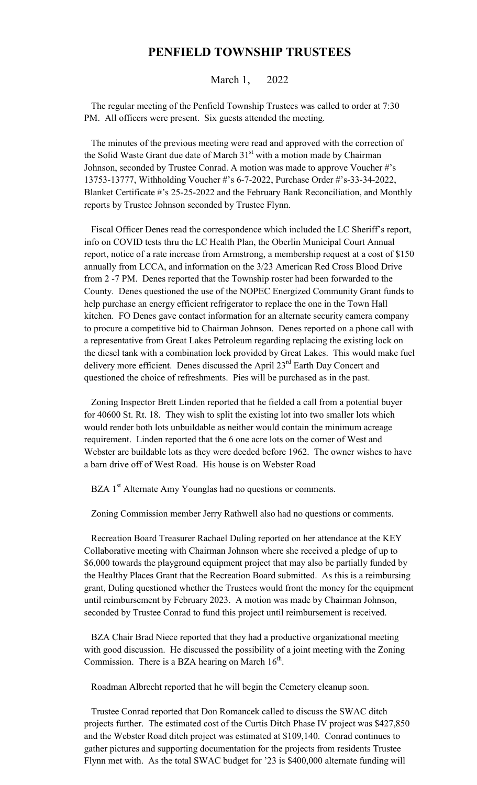## **PENFIELD TOWNSHIP TRUSTEES**

## March 1, 2022

 The regular meeting of the Penfield Township Trustees was called to order at 7:30 PM. All officers were present. Six guests attended the meeting.

 The minutes of the previous meeting were read and approved with the correction of the Solid Waste Grant due date of March  $31<sup>st</sup>$  with a motion made by Chairman Johnson, seconded by Trustee Conrad. A motion was made to approve Voucher #'s 13753-13777, Withholding Voucher #'s 6-7-2022, Purchase Order #'s-33-34-2022, Blanket Certificate #'s 25-25-2022 and the February Bank Reconciliation, and Monthly reports by Trustee Johnson seconded by Trustee Flynn.

 Fiscal Officer Denes read the correspondence which included the LC Sheriff's report, info on COVID tests thru the LC Health Plan, the Oberlin Municipal Court Annual report, notice of a rate increase from Armstrong, a membership request at a cost of \$150 annually from LCCA, and information on the 3/23 American Red Cross Blood Drive from 2 -7 PM. Denes reported that the Township roster had been forwarded to the County. Denes questioned the use of the NOPEC Energized Community Grant funds to help purchase an energy efficient refrigerator to replace the one in the Town Hall kitchen. FO Denes gave contact information for an alternate security camera company to procure a competitive bid to Chairman Johnson. Denes reported on a phone call with a representative from Great Lakes Petroleum regarding replacing the existing lock on the diesel tank with a combination lock provided by Great Lakes. This would make fuel delivery more efficient. Denes discussed the April  $23<sup>rd</sup>$  Earth Day Concert and questioned the choice of refreshments. Pies will be purchased as in the past.

 Zoning Inspector Brett Linden reported that he fielded a call from a potential buyer for 40600 St. Rt. 18. They wish to split the existing lot into two smaller lots which would render both lots unbuildable as neither would contain the minimum acreage requirement. Linden reported that the 6 one acre lots on the corner of West and Webster are buildable lots as they were deeded before 1962. The owner wishes to have a barn drive off of West Road. His house is on Webster Road

BZA 1<sup>st</sup> Alternate Amy Younglas had no questions or comments.

Zoning Commission member Jerry Rathwell also had no questions or comments.

 Recreation Board Treasurer Rachael Duling reported on her attendance at the KEY Collaborative meeting with Chairman Johnson where she received a pledge of up to \$6,000 towards the playground equipment project that may also be partially funded by the Healthy Places Grant that the Recreation Board submitted. As this is a reimbursing grant, Duling questioned whether the Trustees would front the money for the equipment until reimbursement by February 2023. A motion was made by Chairman Johnson, seconded by Trustee Conrad to fund this project until reimbursement is received.

 BZA Chair Brad Niece reported that they had a productive organizational meeting with good discussion. He discussed the possibility of a joint meeting with the Zoning Commission. There is a BZA hearing on March  $16<sup>th</sup>$ .

Roadman Albrecht reported that he will begin the Cemetery cleanup soon.

 Trustee Conrad reported that Don Romancek called to discuss the SWAC ditch projects further. The estimated cost of the Curtis Ditch Phase IV project was \$427,850 and the Webster Road ditch project was estimated at \$109,140. Conrad continues to gather pictures and supporting documentation for the projects from residents Trustee Flynn met with. As the total SWAC budget for '23 is \$400,000 alternate funding will